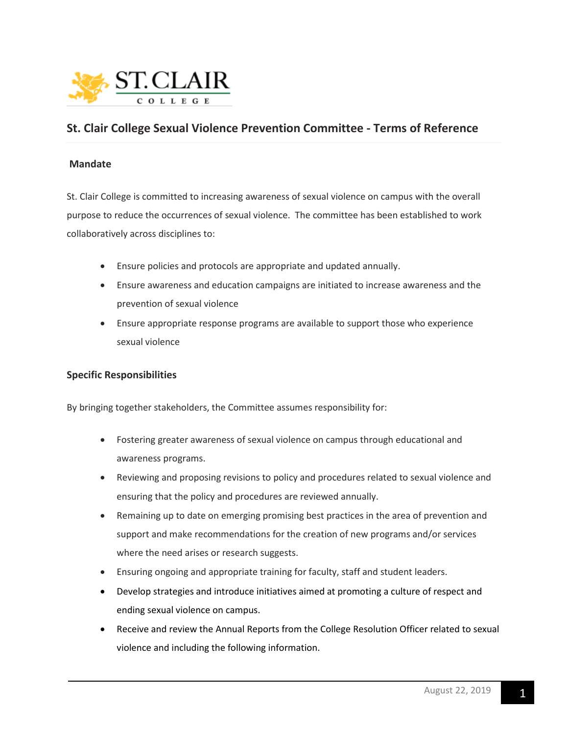

# **St. Clair College Sexual Violence Prevention Committee - Terms of Reference**

## **Mandate**

St. Clair College is committed to increasing awareness of sexual violence on campus with the overall purpose to reduce the occurrences of sexual violence. The committee has been established to work collaboratively across disciplines to:

- Ensure policies and protocols are appropriate and updated annually.
- Ensure awareness and education campaigns are initiated to increase awareness and the prevention of sexual violence
- Ensure appropriate response programs are available to support those who experience sexual violence

## **Specific Responsibilities**

By bringing together stakeholders, the Committee assumes responsibility for:

- Fostering greater awareness of sexual violence on campus through educational and awareness programs.
- Reviewing and proposing revisions to policy and procedures related to sexual violence and ensuring that the policy and procedures are reviewed annually.
- Remaining up to date on emerging promising best practices in the area of prevention and support and make recommendations for the creation of new programs and/or services where the need arises or research suggests.
- Ensuring ongoing and appropriate training for faculty, staff and student leaders.
- Develop strategies and introduce initiatives aimed at promoting a culture of respect and ending sexual violence on campus.
- Receive and review the Annual Reports from the College Resolution Officer related to sexual violence and including the following information.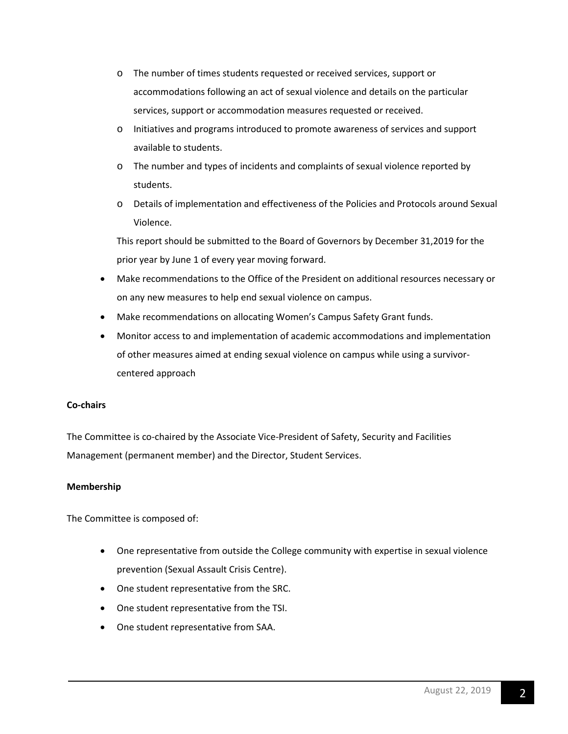- o The number of times students requested or received services, support or accommodations following an act of sexual violence and details on the particular services, support or accommodation measures requested or received.
- o Initiatives and programs introduced to promote awareness of services and support available to students.
- o The number and types of incidents and complaints of sexual violence reported by students.
- o Details of implementation and effectiveness of the Policies and Protocols around Sexual Violence.

This report should be submitted to the Board of Governors by December 31,2019 for the prior year by June 1 of every year moving forward.

- Make recommendations to the Office of the President on additional resources necessary or on any new measures to help end sexual violence on campus.
- Make recommendations on allocating Women's Campus Safety Grant funds.
- Monitor access to and implementation of academic accommodations and implementation of other measures aimed at ending sexual violence on campus while using a survivorcentered approach

## **Co-chairs**

The Committee is co-chaired by the Associate Vice-President of Safety, Security and Facilities Management (permanent member) and the Director, Student Services.

# **Membership**

The Committee is composed of:

- One representative from outside the College community with expertise in sexual violence prevention (Sexual Assault Crisis Centre).
- One student representative from the SRC.
- One student representative from the TSI.
- One student representative from SAA.